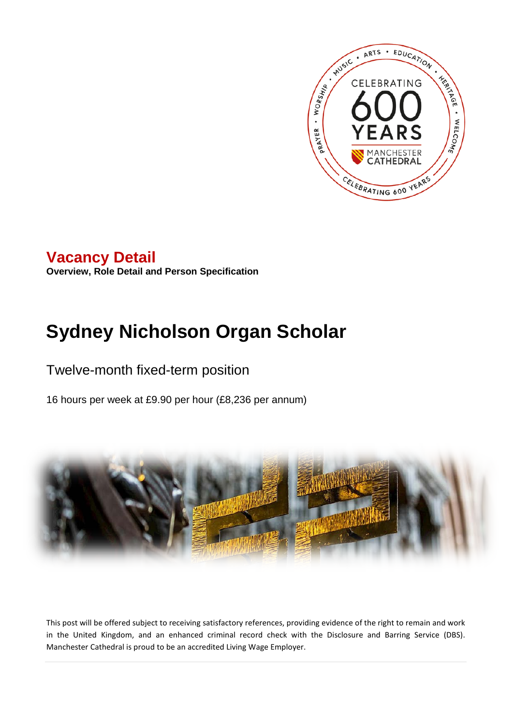

# **Vacancy Detail**

**Overview, Role Detail and Person Specification**

# **Sydney Nicholson Organ Scholar**

# Twelve-month fixed-term position

16 hours per week at £9.90 per hour (£8,236 per annum)



This post will be offered subject to receiving satisfactory references, providing evidence of the right to remain and work in the United Kingdom, and an enhanced criminal record check with the Disclosure and Barring Service (DBS). Manchester Cathedral is proud to be an accredited Living Wage Employer.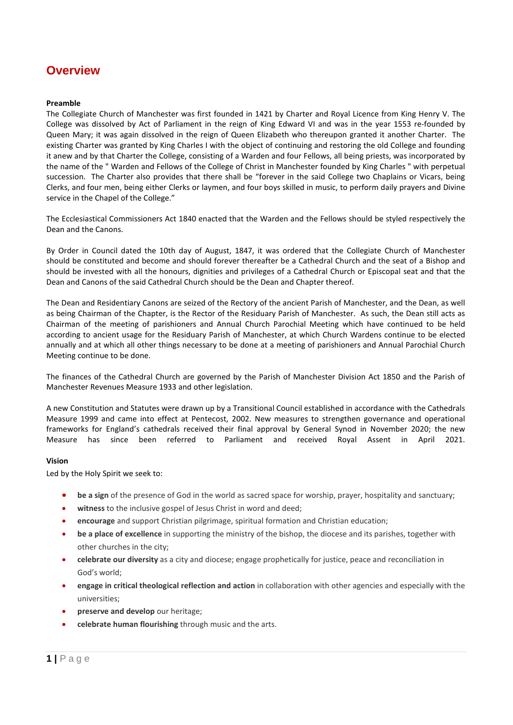## **Overview**

#### **Preamble**

The Collegiate Church of Manchester was first founded in 1421 by Charter and Royal Licence from King Henry V. The College was dissolved by Act of Parliament in the reign of King Edward VI and was in the year 1553 re-founded by Queen Mary; it was again dissolved in the reign of Queen Elizabeth who thereupon granted it another Charter. The existing Charter was granted by King Charles I with the object of continuing and restoring the old College and founding it anew and by that Charter the College, consisting of a Warden and four Fellows, all being priests, was incorporated by the name of the " Warden and Fellows of the College of Christ in Manchester founded by King Charles " with perpetual succession. The Charter also provides that there shall be "forever in the said College two Chaplains or Vicars, being Clerks, and four men, being either Clerks or laymen, and four boys skilled in music, to perform daily prayers and Divine service in the Chapel of the College."

The Ecclesiastical Commissioners Act 1840 enacted that the Warden and the Fellows should be styled respectively the Dean and the Canons.

By Order in Council dated the 10th day of August, 1847, it was ordered that the Collegiate Church of Manchester should be constituted and become and should forever thereafter be a Cathedral Church and the seat of a Bishop and should be invested with all the honours, dignities and privileges of a Cathedral Church or Episcopal seat and that the Dean and Canons of the said Cathedral Church should be the Dean and Chapter thereof.

The Dean and Residentiary Canons are seized of the Rectory of the ancient Parish of Manchester, and the Dean, as well as being Chairman of the Chapter, is the Rector of the Residuary Parish of Manchester. As such, the Dean still acts as Chairman of the meeting of parishioners and Annual Church Parochial Meeting which have continued to be held according to ancient usage for the Residuary Parish of Manchester, at which Church Wardens continue to be elected annually and at which all other things necessary to be done at a meeting of parishioners and Annual Parochial Church Meeting continue to be done.

The finances of the Cathedral Church are governed by the Parish of Manchester Division Act 1850 and the Parish of Manchester Revenues Measure 1933 and other legislation.

A new Constitution and Statutes were drawn up by a Transitional Council established in accordance with the Cathedrals Measure 1999 and came into effect at Pentecost, 2002. New measures to strengthen governance and operational frameworks for England's cathedrals received their final approval by General Synod in November 2020; the new Measure has since been referred to Parliament and received Royal Assent in April 2021.

#### **Vision**

Led by the Holy Spirit we seek to:

- **be a sign** of the presence of God in the world as sacred space for worship, prayer, hospitality and sanctuary;
- **witness** to the inclusive gospel of Jesus Christ in word and deed;
- **encourage** and support Christian pilgrimage, spiritual formation and Christian education;
- **be a place of excellence** in supporting the ministry of the bishop, the diocese and its parishes, together with other churches in the city;
- **celebrate our diversity** as a city and diocese; engage prophetically for justice, peace and reconciliation in God's world;
- **engage in critical theological reflection and action** in collaboration with other agencies and especially with the universities;
- **preserve and develop** our heritage;
- **celebrate human flourishing** through music and the arts.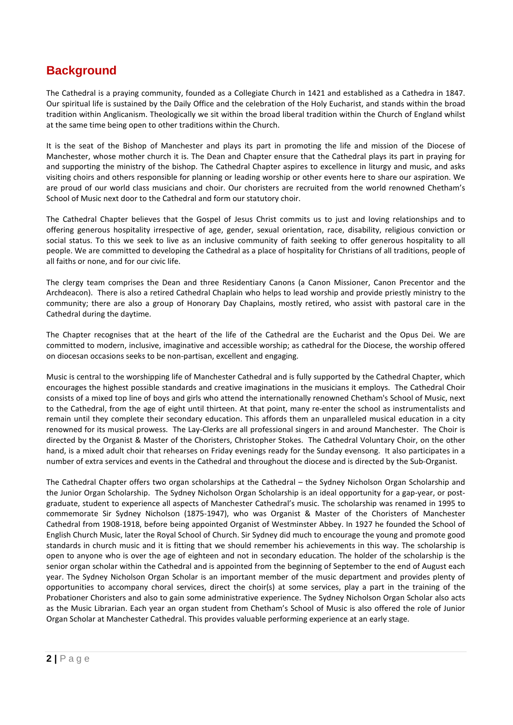# **Background**

The Cathedral is a praying community, founded as a Collegiate Church in 1421 and established as a Cathedra in 1847. Our spiritual life is sustained by the Daily Office and the celebration of the Holy Eucharist, and stands within the broad tradition within Anglicanism. Theologically we sit within the broad liberal tradition within the Church of England whilst at the same time being open to other traditions within the Church.

It is the seat of the Bishop of Manchester and plays its part in promoting the life and mission of the Diocese of Manchester, whose mother church it is. The Dean and Chapter ensure that the Cathedral plays its part in praying for and supporting the ministry of the bishop. The Cathedral Chapter aspires to excellence in liturgy and music, and asks visiting choirs and others responsible for planning or leading worship or other events here to share our aspiration. We are proud of our world class musicians and choir. Our choristers are recruited from the world renowned Chetham's School of Music next door to the Cathedral and form our statutory choir.

The Cathedral Chapter believes that the Gospel of Jesus Christ commits us to just and loving relationships and to offering generous hospitality irrespective of age, gender, sexual orientation, race, disability, religious conviction or social status. To this we seek to live as an inclusive community of faith seeking to offer generous hospitality to all people. We are committed to developing the Cathedral as a place of hospitality for Christians of all traditions, people of all faiths or none, and for our civic life.

The clergy team comprises the Dean and three Residentiary Canons (a Canon Missioner, Canon Precentor and the Archdeacon). There is also a retired Cathedral Chaplain who helps to lead worship and provide priestly ministry to the community; there are also a group of Honorary Day Chaplains, mostly retired, who assist with pastoral care in the Cathedral during the daytime.

The Chapter recognises that at the heart of the life of the Cathedral are the Eucharist and the Opus Dei. We are committed to modern, inclusive, imaginative and accessible worship; as cathedral for the Diocese, the worship offered on diocesan occasions seeks to be non-partisan, excellent and engaging.

Music is central to the worshipping life of Manchester Cathedral and is fully supported by the Cathedral Chapter, which encourages the highest possible standards and creative imaginations in the musicians it employs. The Cathedral Choir consists of a mixed top line of boys and girls who attend the internationally renowned Chetham's School of Music, next to the Cathedral, from the age of eight until thirteen. At that point, many re-enter the school as instrumentalists and remain until they complete their secondary education. This affords them an unparalleled musical education in a city renowned for its musical prowess. The Lay-Clerks are all professional singers in and around Manchester. The Choir is directed by the Organist & Master of the Choristers, Christopher Stokes. The Cathedral Voluntary Choir, on the other hand, is a mixed adult choir that rehearses on Friday evenings ready for the Sunday evensong. It also participates in a number of extra services and events in the Cathedral and throughout the diocese and is directed by the Sub-Organist.

The Cathedral Chapter offers two organ scholarships at the Cathedral – the Sydney Nicholson Organ Scholarship and the Junior Organ Scholarship. The Sydney Nicholson Organ Scholarship is an ideal opportunity for a gap-year, or postgraduate, student to experience all aspects of Manchester Cathedral's music. The scholarship was renamed in 1995 to commemorate Sir Sydney Nicholson (1875-1947), who was Organist & Master of the Choristers of Manchester Cathedral from 1908-1918, before being appointed Organist of Westminster Abbey. In 1927 he founded the School of English Church Music, later the Royal School of Church. Sir Sydney did much to encourage the young and promote good standards in church music and it is fitting that we should remember his achievements in this way. The scholarship is open to anyone who is over the age of eighteen and not in secondary education. The holder of the scholarship is the senior organ scholar within the Cathedral and is appointed from the beginning of September to the end of August each year. The Sydney Nicholson Organ Scholar is an important member of the music department and provides plenty of opportunities to accompany choral services, direct the choir(s) at some services, play a part in the training of the Probationer Choristers and also to gain some administrative experience. The Sydney Nicholson Organ Scholar also acts as the Music Librarian. Each year an organ student from Chetham's School of Music is also offered the role of Junior Organ Scholar at Manchester Cathedral. This provides valuable performing experience at an early stage.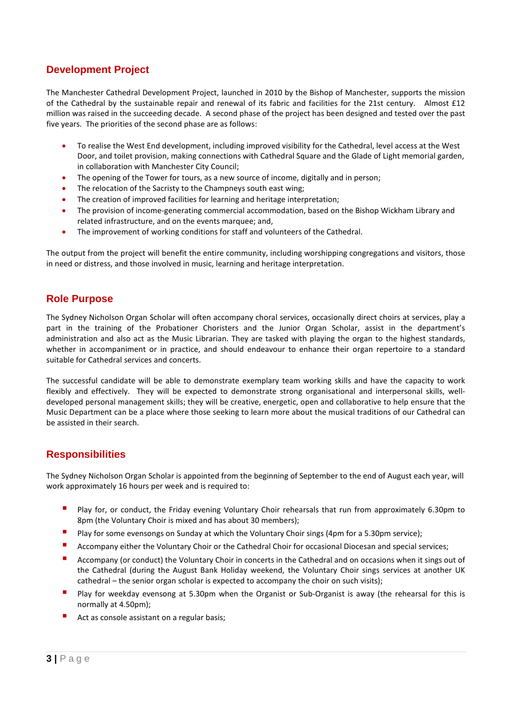### **Development Project**

The Manchester Cathedral Development Project, launched in 2010 by the Bishop of Manchester, supports the mission of the Cathedral by the sustainable repair and renewal of its fabric and facilities for the 21st century. Almost £12 million was raised in the succeeding decade. A second phase of the project has been designed and tested over the past five years. The priorities of the second phase are as follows:

- To realise the West End development, including improved visibility for the Cathedral, level access at the West Door, and toilet provision, making connections with Cathedral Square and the Glade of Light memorial garden, in collaboration with Manchester City Council;
- The opening of the Tower for tours, as a new source of income, digitally and in person;
- The relocation of the Sacristy to the Champneys south east wing:
- The creation of improved facilities for learning and heritage interpretation;
- The provision of income-generating commercial accommodation, based on the Bishop Wickham Library and related infrastructure, and on the events marquee; and,
- The improvement of working conditions for staff and volunteers of the Cathedral.

The output from the project will benefit the entire community, including worshipping congregations and visitors, those in need or distress, and those involved in music, learning and heritage interpretation.

#### **Role Purpose**

The Sydney Nicholson Organ Scholar will often accompany choral services, occasionally direct choirs at services, play a part in the training of the Probationer Choristers and the Junior Organ Scholar, assist in the department's administration and also act as the Music Librarian. They are tasked with playing the organ to the highest standards, whether in accompaniment or in practice, and should endeavour to enhance their organ repertoire to a standard suitable for Cathedral services and concerts.

The successful candidate will be able to demonstrate exemplary team working skills and have the capacity to work flexibly and effectively. They will be expected to demonstrate strong organisational and interpersonal skills, welldeveloped personal management skills; they will be creative, energetic, open and collaborative to help ensure that the Music Department can be a place where those seeking to learn more about the musical traditions of our Cathedral can be assisted in their search.

#### **Responsibilities**

The Sydney Nicholson Organ Scholar is appointed from the beginning of September to the end of August each year, will work approximately 16 hours per week and is required to:

- Play for, or conduct, the Friday evening Voluntary Choir rehearsals that run from approximately 6.30pm to 8pm (the Voluntary Choir is mixed and has about 30 members);
- **Play for some evensongs on Sunday at which the Voluntary Choir sings (4pm for a 5.30pm service);**
- **Accompany either the Voluntary Choir or the Cathedral Choir for occasional Diocesan and special services;**
- Accompany (or conduct) the Voluntary Choir in concerts in the Cathedral and on occasions when it sings out of the Cathedral (during the August Bank Holiday weekend, the Voluntary Choir sings services at another UK cathedral – the senior organ scholar is expected to accompany the choir on such visits);
- **Play for weekday evensong at 5.30pm when the Organist or Sub-Organist is away (the rehearsal for this is** normally at 4.50pm);
- Act as console assistant on a regular basis;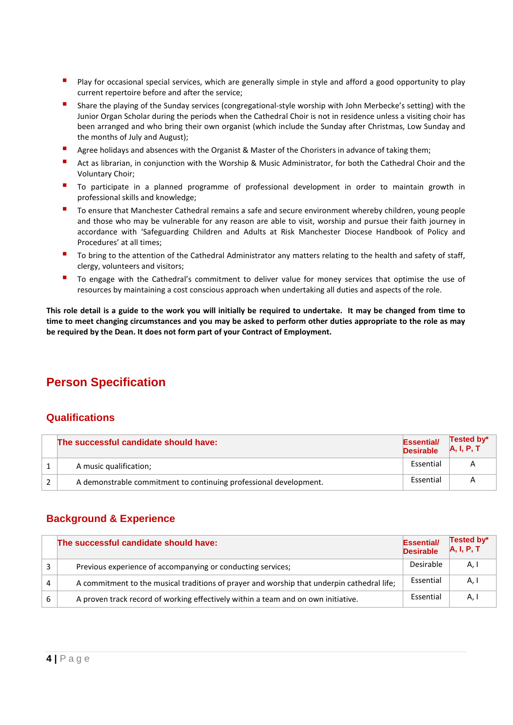- Play for occasional special services, which are generally simple in style and afford a good opportunity to play current repertoire before and after the service;
- Share the playing of the Sunday services (congregational-style worship with John Merbecke's setting) with the Junior Organ Scholar during the periods when the Cathedral Choir is not in residence unless a visiting choir has been arranged and who bring their own organist (which include the Sunday after Christmas, Low Sunday and the months of July and August);
- Agree holidays and absences with the Organist & Master of the Choristers in advance of taking them;
- Act as librarian, in conjunction with the Worship & Music Administrator, for both the Cathedral Choir and the Voluntary Choir;
- To participate in a planned programme of professional development in order to maintain growth in professional skills and knowledge;
- To ensure that Manchester Cathedral remains a safe and secure environment whereby children, young people and those who may be vulnerable for any reason are able to visit, worship and pursue their faith journey in accordance with 'Safeguarding Children and Adults at Risk Manchester Diocese Handbook of Policy and Procedures' at all times;
- To bring to the attention of the Cathedral Administrator any matters relating to the health and safety of staff, clergy, volunteers and visitors;
- To engage with the Cathedral's commitment to deliver value for money services that optimise the use of resources by maintaining a cost conscious approach when undertaking all duties and aspects of the role.

**This role detail is a guide to the work you will initially be required to undertake. It may be changed from time to time to meet changing circumstances and you may be asked to perform other duties appropriate to the role as may be required by the Dean. It does not form part of your Contract of Employment.**

# **Person Specification**

### **Qualifications**

| The successful candidate should have:                             | <b>Essential/</b><br><b>Desirable</b> | Tested by*<br>A, I, P, T |
|-------------------------------------------------------------------|---------------------------------------|--------------------------|
| A music qualification;                                            | Essential                             |                          |
| A demonstrable commitment to continuing professional development. | Essential                             |                          |

#### **Background & Experience**

|   | The successful candidate should have:                                                      | <b>Essential/</b><br><b>Desirable</b> | Tested by*<br>A, I, P, T |
|---|--------------------------------------------------------------------------------------------|---------------------------------------|--------------------------|
|   | Previous experience of accompanying or conducting services;                                | Desirable                             | A, I                     |
| Δ | A commitment to the musical traditions of prayer and worship that underpin cathedral life; | Essential                             | A, I                     |
|   | A proven track record of working effectively within a team and on own initiative.          | Essential                             | A,                       |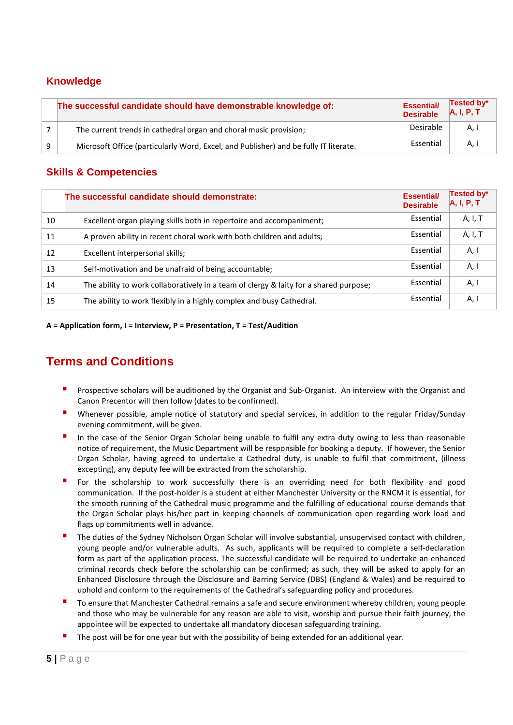### **Knowledge**

|   | The successful candidate should have demonstrable knowledge of:                      | <b>Essential/</b><br><b>Desirable</b> | Tested by*<br>A, I, P, T |
|---|--------------------------------------------------------------------------------------|---------------------------------------|--------------------------|
|   | The current trends in cathedral organ and choral music provision;                    | Desirable                             | A.I                      |
| q | Microsoft Office (particularly Word, Excel, and Publisher) and be fully IT literate. | Essential                             | A.I                      |

### **Skills & Competencies**

|    | The successful candidate should demonstrate:                                          | Essential/<br><b>Desirable</b> | Tested by*<br>A, I, P, T |
|----|---------------------------------------------------------------------------------------|--------------------------------|--------------------------|
| 10 | Excellent organ playing skills both in repertoire and accompaniment;                  | Essential                      | A, I, T                  |
| 11 | A proven ability in recent choral work with both children and adults;                 | Essential                      | A, I, T                  |
| 12 | Excellent interpersonal skills;                                                       | Essential                      | A, I                     |
| 13 | Self-motivation and be unafraid of being accountable;                                 | Essential                      | A, I                     |
| 14 | The ability to work collaboratively in a team of clergy & laity for a shared purpose; | Essential                      | A, I                     |
| 15 | The ability to work flexibly in a highly complex and busy Cathedral.                  | Essential                      | A, I                     |

**A = Application form, I = Interview, P = Presentation, T = Test/Audition**

# **Terms and Conditions**

- Prospective scholars will be auditioned by the Organist and Sub-Organist. An interview with the Organist and Canon Precentor will then follow (dates to be confirmed).
- Whenever possible, ample notice of statutory and special services, in addition to the regular Friday/Sunday evening commitment, will be given.
- In the case of the Senior Organ Scholar being unable to fulfil any extra duty owing to less than reasonable notice of requirement, the Music Department will be responsible for booking a deputy. If however, the Senior Organ Scholar, having agreed to undertake a Cathedral duty, is unable to fulfil that commitment, (illness excepting), any deputy fee will be extracted from the scholarship.
- For the scholarship to work successfully there is an overriding need for both flexibility and good communication. If the post-holder is a student at either Manchester University or the RNCM it is essential, for the smooth running of the Cathedral music programme and the fulfilling of educational course demands that the Organ Scholar plays his/her part in keeping channels of communication open regarding work load and flags up commitments well in advance.
- The duties of the Sydney Nicholson Organ Scholar will involve substantial, unsupervised contact with children, young people and/or vulnerable adults. As such, applicants will be required to complete a self-declaration form as part of the application process. The successful candidate will be required to undertake an enhanced criminal records check before the scholarship can be confirmed; as such, they will be asked to apply for an Enhanced Disclosure through the Disclosure and Barring Service (DBS) (England & Wales) and be required to uphold and conform to the requirements of the Cathedral's safeguarding policy and procedures.
- To ensure that Manchester Cathedral remains a safe and secure environment whereby children, young people and those who may be vulnerable for any reason are able to visit, worship and pursue their faith journey, the appointee will be expected to undertake all mandatory diocesan safeguarding training.
- The post will be for one year but with the possibility of being extended for an additional year.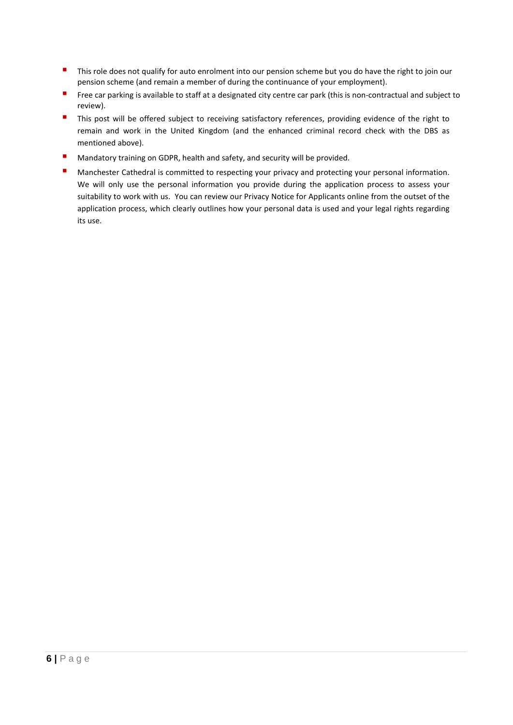- This role does not qualify for auto enrolment into our pension scheme but you do have the right to join our pension scheme (and remain a member of during the continuance of your employment).
- Free car parking is available to staff at a designated city centre car park (this is non-contractual and subject to review).
- This post will be offered subject to receiving satisfactory references, providing evidence of the right to remain and work in the United Kingdom (and the enhanced criminal record check with the DBS as mentioned above).
- **Mandatory training on GDPR, health and safety, and security will be provided.**
- **Manchester Cathedral is committed to respecting your privacy and protecting your personal information.** We will only use the personal information you provide during the application process to assess your suitability to work with us. You can review our Privacy Notice for Applicants online from the outset of the application process, which clearly outlines how your personal data is used and your legal rights regarding its use.